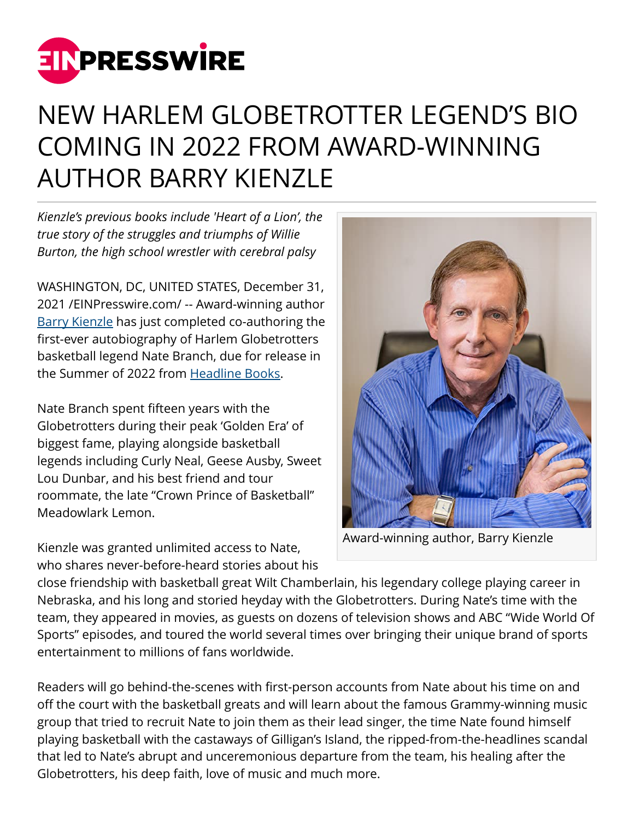

## NEW HARLEM GLOBETROTTER LEGEND'S BIO COMING IN 2022 FROM AWARD-WINNING AUTHOR BARRY KIENZLE

*Kienzle's previous books include 'Heart of a Lion', the true story of the struggles and triumphs of Willie Burton, the high school wrestler with cerebral palsy*

WASHINGTON, DC, UNITED STATES, December 31, 2021 /[EINPresswire.com](http://www.einpresswire.com)/ -- Award-winning author [Barry Kienzle](https://www.barrykbooks.com/) has just completed co-authoring the first-ever autobiography of Harlem Globetrotters basketball legend Nate Branch, due for release in the Summer of 2022 from [Headline Books.](https://headlinebooks.com/book-author-profile/barry-kienzle/)

Nate Branch spent fifteen years with the Globetrotters during their peak 'Golden Era' of biggest fame, playing alongside basketball legends including Curly Neal, Geese Ausby, Sweet Lou Dunbar, and his best friend and tour roommate, the late "Crown Prince of Basketball" Meadowlark Lemon.

Kienzle was granted unlimited access to Nate, who shares never-before-heard stories about his



Award-winning author, Barry Kienzle

close friendship with basketball great Wilt Chamberlain, his legendary college playing career in Nebraska, and his long and storied heyday with the Globetrotters. During Nate's time with the team, they appeared in movies, as guests on dozens of television shows and ABC "Wide World Of Sports" episodes, and toured the world several times over bringing their unique brand of sports entertainment to millions of fans worldwide.

Readers will go behind-the-scenes with first-person accounts from Nate about his time on and off the court with the basketball greats and will learn about the famous Grammy-winning music group that tried to recruit Nate to join them as their lead singer, the time Nate found himself playing basketball with the castaways of Gilligan's Island, the ripped-from-the-headlines scandal that led to Nate's abrupt and unceremonious departure from the team, his healing after the Globetrotters, his deep faith, love of music and much more.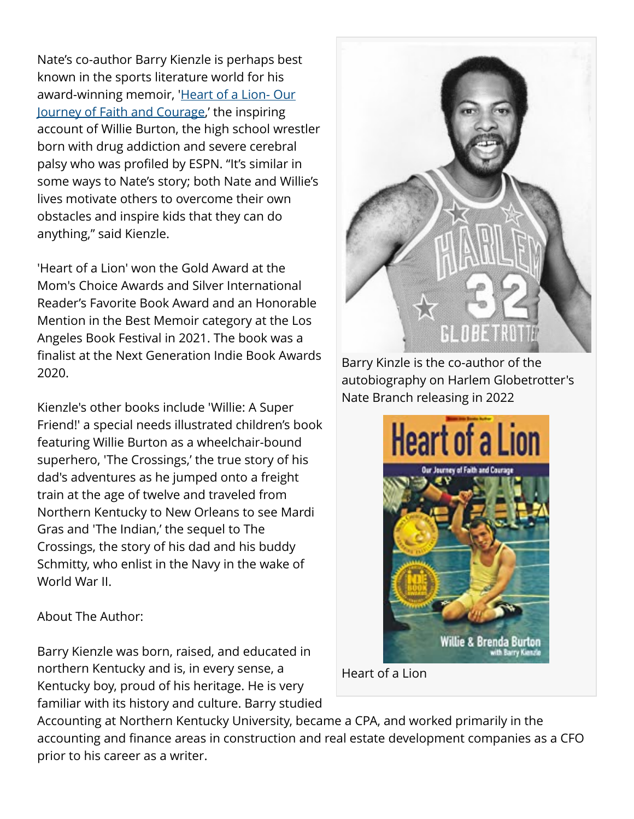Nate's co-author Barry Kienzle is perhaps best known in the sports literature world for his award-winning memoir, 'Heart of a Lion-Our [Journey of Faith and Courage,](https://www.amazon.com/Barry-Kienzle/e/B00JDMYQHO%3Fref=dbs_a_mng_rwt_scns_share)' the inspiring account of Willie Burton, the high school wrestler born with drug addiction and severe cerebral palsy who was profiled by ESPN. "It's similar in some ways to Nate's story; both Nate and Willie's lives motivate others to overcome their own obstacles and inspire kids that they can do anything," said Kienzle.

'Heart of a Lion' won the Gold Award at the Mom's Choice Awards and Silver International Reader's Favorite Book Award and an Honorable Mention in the Best Memoir category at the Los Angeles Book Festival in 2021. The book was a finalist at the Next Generation Indie Book Awards 2020.

Kienzle's other books include 'Willie: A Super Friend!' a special needs illustrated children's book featuring Willie Burton as a wheelchair-bound superhero, 'The Crossings,' the true story of his dad's adventures as he jumped onto a freight train at the age of twelve and traveled from Northern Kentucky to New Orleans to see Mardi Gras and 'The Indian,' the sequel to The Crossings, the story of his dad and his buddy Schmitty, who enlist in the Navy in the wake of World War II.

About The Author:

Barry Kienzle was born, raised, and educated in northern Kentucky and is, in every sense, a Kentucky boy, proud of his heritage. He is very familiar with its history and culture. Barry studied



Barry Kinzle is the co-author of the autobiography on Harlem Globetrotter's Nate Branch releasing in 2022



Heart of a Lion

Accounting at Northern Kentucky University, became a CPA, and worked primarily in the accounting and finance areas in construction and real estate development companies as a CFO prior to his career as a writer.